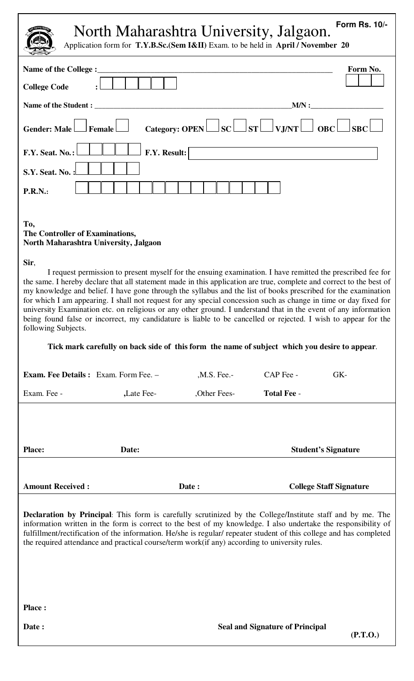North Maharashtra University, Jalgaon. **Form Rs. 10/-** 

Application form for **T.Y.B.Sc.(Sem I&II)** Exam. to be held in **April / November 20** 

| <i>i</i> spincation form for <b>1.1.1.0.00.</b> (bein 18.11) Exam, to be next in <i>T</i> eptit? For ember                                                                                                                                                                                                                                                                                                                                                                                                                                                                                                                                                                                                                                                                                                                                                                                                                       |              |               |                                                            |                                |
|----------------------------------------------------------------------------------------------------------------------------------------------------------------------------------------------------------------------------------------------------------------------------------------------------------------------------------------------------------------------------------------------------------------------------------------------------------------------------------------------------------------------------------------------------------------------------------------------------------------------------------------------------------------------------------------------------------------------------------------------------------------------------------------------------------------------------------------------------------------------------------------------------------------------------------|--------------|---------------|------------------------------------------------------------|--------------------------------|
| Name of the College :                                                                                                                                                                                                                                                                                                                                                                                                                                                                                                                                                                                                                                                                                                                                                                                                                                                                                                            |              |               |                                                            | Form No.                       |
| <b>College Code</b>                                                                                                                                                                                                                                                                                                                                                                                                                                                                                                                                                                                                                                                                                                                                                                                                                                                                                                              |              |               |                                                            |                                |
| Name of the Student :                                                                                                                                                                                                                                                                                                                                                                                                                                                                                                                                                                                                                                                                                                                                                                                                                                                                                                            |              |               | MN:                                                        |                                |
| <b>Gender: Male</b><br>Female                                                                                                                                                                                                                                                                                                                                                                                                                                                                                                                                                                                                                                                                                                                                                                                                                                                                                                    |              |               | Category: OPEN $\Box$ SC $\Box$ ST $\Box$ VJ/NT $\Box$ OBC | <b>SBC</b>                     |
| F.Y. Seat. No.:                                                                                                                                                                                                                                                                                                                                                                                                                                                                                                                                                                                                                                                                                                                                                                                                                                                                                                                  | F.Y. Result: |               |                                                            |                                |
| S.Y. Seat. No.:                                                                                                                                                                                                                                                                                                                                                                                                                                                                                                                                                                                                                                                                                                                                                                                                                                                                                                                  |              |               |                                                            |                                |
| <b>P.R.N.:</b>                                                                                                                                                                                                                                                                                                                                                                                                                                                                                                                                                                                                                                                                                                                                                                                                                                                                                                                   |              |               |                                                            |                                |
| To,<br>The Controller of Examinations,<br>North Maharashtra University, Jalgaon<br>Sir,<br>I request permission to present myself for the ensuing examination. I have remitted the prescribed fee for<br>the same. I hereby declare that all statement made in this application are true, complete and correct to the best of<br>my knowledge and belief. I have gone through the syllabus and the list of books prescribed for the examination<br>for which I am appearing. I shall not request for any special concession such as change in time or day fixed for<br>university Examination etc. on religious or any other ground. I understand that in the event of any information<br>being found false or incorrect, my candidature is liable to be cancelled or rejected. I wish to appear for the<br>following Subjects.<br>Tick mark carefully on back side of this form the name of subject which you desire to appear. |              |               |                                                            |                                |
| <b>Exam. Fee Details:</b> Exam. Form Fee. -                                                                                                                                                                                                                                                                                                                                                                                                                                                                                                                                                                                                                                                                                                                                                                                                                                                                                      |              | $,M.S.$ Fee.- | CAP Fee -                                                  | GK-                            |
| Exam. Fee -                                                                                                                                                                                                                                                                                                                                                                                                                                                                                                                                                                                                                                                                                                                                                                                                                                                                                                                      | , Late Fee-  | ,Other Fees-  | <b>Total Fee -</b>                                         |                                |
| <b>Place:</b><br>Date:                                                                                                                                                                                                                                                                                                                                                                                                                                                                                                                                                                                                                                                                                                                                                                                                                                                                                                           |              |               |                                                            | <b>Student's Signature</b>     |
| <b>Amount Received:</b>                                                                                                                                                                                                                                                                                                                                                                                                                                                                                                                                                                                                                                                                                                                                                                                                                                                                                                          | Date:        |               |                                                            | <b>College Staff Signature</b> |
| <b>Declaration by Principal:</b> This form is carefully scrutinized by the College/Institute staff and by me. The<br>information written in the form is correct to the best of my knowledge. I also undertake the responsibility of<br>fulfillment/rectification of the information. He/she is regular/ repeater student of this college and has completed<br>the required attendance and practical course/term work(if any) according to university rules.                                                                                                                                                                                                                                                                                                                                                                                                                                                                      |              |               |                                                            |                                |
| <b>Place:</b>                                                                                                                                                                                                                                                                                                                                                                                                                                                                                                                                                                                                                                                                                                                                                                                                                                                                                                                    |              |               |                                                            |                                |
| Date:                                                                                                                                                                                                                                                                                                                                                                                                                                                                                                                                                                                                                                                                                                                                                                                                                                                                                                                            |              |               | <b>Seal and Signature of Principal</b>                     | (P.T.O.)                       |